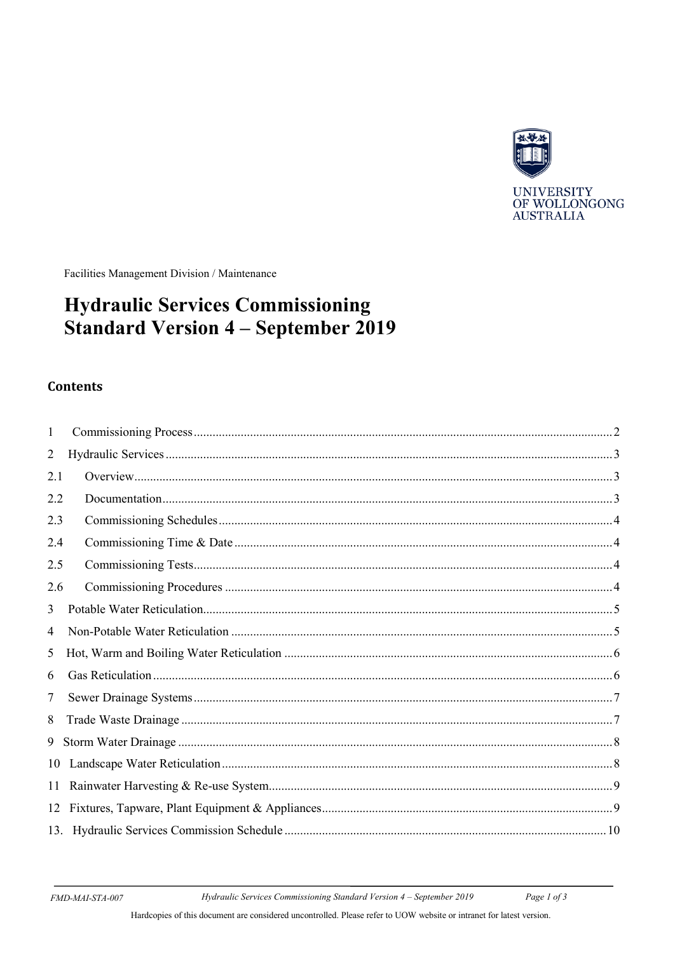

Facilities Management Division / Maintenance

# **Hydraulic Services Commissioning Standard Version 4 - September 2019**

# **Contents**

| $\mathbf{1}$   |  |
|----------------|--|
| $\overline{2}$ |  |
| 2.1            |  |
| 2.2            |  |
| 2.3            |  |
| 2.4            |  |
| 2.5            |  |
| 2.6            |  |
| 3              |  |
| 4              |  |
| 5              |  |
| 6              |  |
| 7              |  |
| 8              |  |
| 9              |  |
| 10             |  |
| 11             |  |
| 12             |  |
|                |  |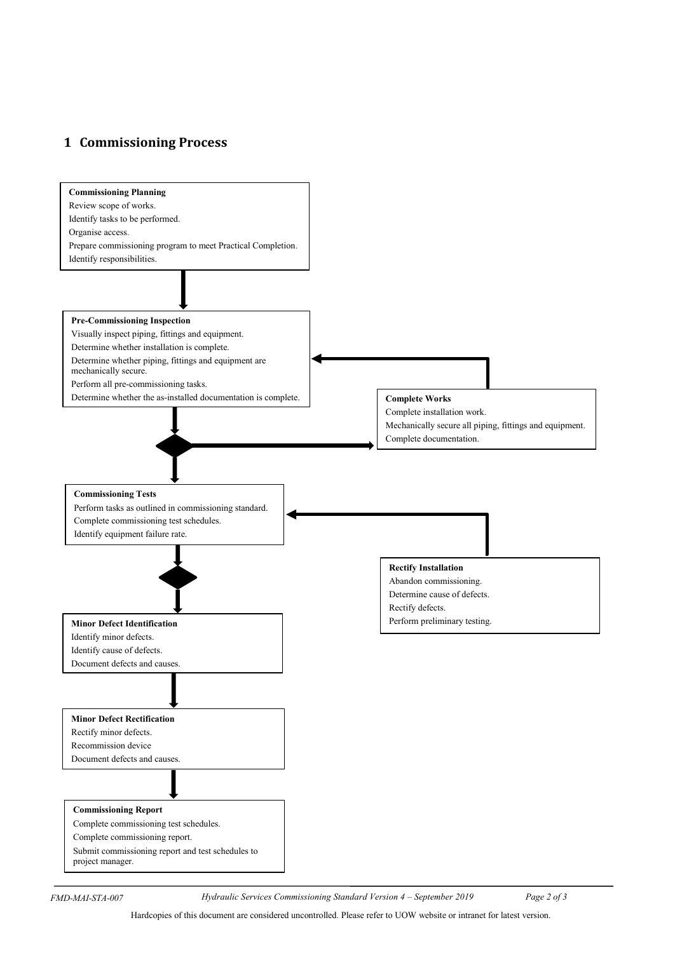# <span id="page-1-0"></span>**1 Commissioning Process**



*FMD-MAI-STA-007 Hydraulic Services Commissioning Standard Version 4 – September 2019 Page 2 of 3*

Hardcopies of this document are considered uncontrolled. Please refer to UOW website or intranet for latest version.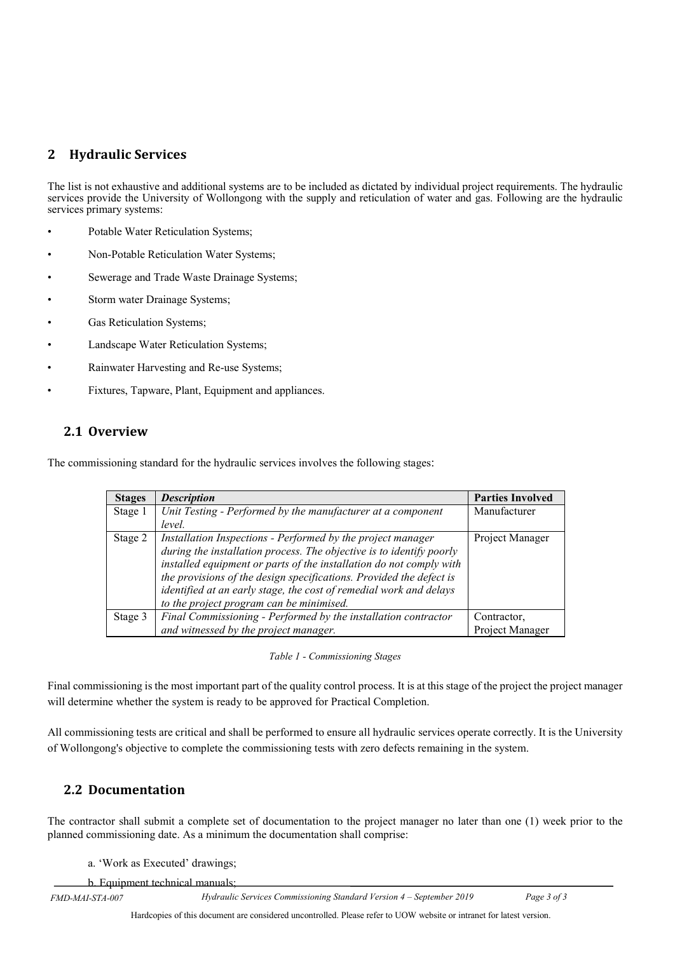# <span id="page-2-0"></span>**2 Hydraulic Services**

The list is not exhaustive and additional systems are to be included as dictated by individual project requirements. The hydraulic services provide the University of Wollongong with the supply and reticulation of water and gas. Following are the hydraulic services primary systems:

- Potable Water Reticulation Systems;
- Non-Potable Reticulation Water Systems;
- Sewerage and Trade Waste Drainage Systems;
- Storm water Drainage Systems;
- Gas Reticulation Systems;
- Landscape Water Reticulation Systems;
- Rainwater Harvesting and Re-use Systems;
- <span id="page-2-1"></span>• Fixtures, Tapware, Plant, Equipment and appliances.

# **2.1 Overview**

The commissioning standard for the hydraulic services involves the following stages:

| <b>Stages</b> | <b>Description</b>                                                   | <b>Parties Involved</b> |
|---------------|----------------------------------------------------------------------|-------------------------|
| Stage 1       | Unit Testing - Performed by the manufacturer at a component          | Manufacturer            |
|               | level.                                                               |                         |
| Stage 2       | Installation Inspections - Performed by the project manager          | Project Manager         |
|               | during the installation process. The objective is to identify poorly |                         |
|               | installed equipment or parts of the installation do not comply with  |                         |
|               | the provisions of the design specifications. Provided the defect is  |                         |
|               | identified at an early stage, the cost of remedial work and delays   |                         |
|               | to the project program can be minimised.                             |                         |
| Stage 3       | Final Commissioning - Performed by the installation contractor       | Contractor,             |
|               | and witnessed by the project manager.                                | Project Manager         |

*Table 1 - Commissioning Stages* 

Final commissioning is the most important part of the quality control process. It is at this stage of the project the project manager will determine whether the system is ready to be approved for Practical Completion.

All commissioning tests are critical and shall be performed to ensure all hydraulic services operate correctly. It is the University of Wollongong's objective to complete the commissioning tests with zero defects remaining in the system.

# <span id="page-2-2"></span>**2.2 Documentation**

The contractor shall submit a complete set of documentation to the project manager no later than one (1) week prior to the planned commissioning date. As a minimum the documentation shall comprise:

a. 'Work as Executed' drawings;

b. Equipment technical manuals;

*FMD-MAI-STA-007 Hydraulic Services Commissioning Standard Version 4 – September 2019 Page 3 of 3*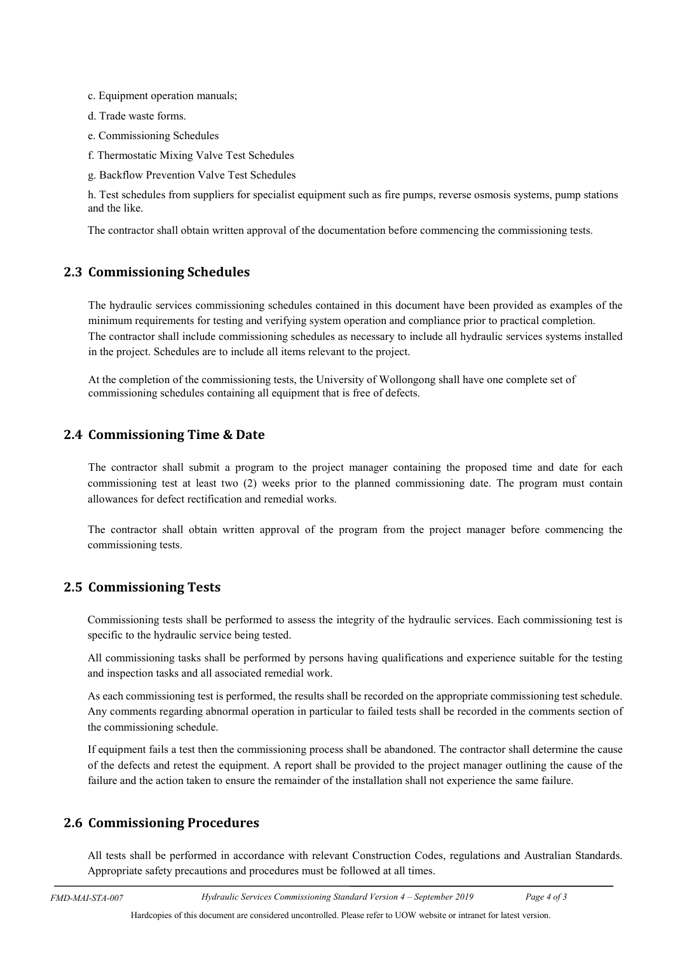- c. Equipment operation manuals;
- d. Trade waste forms.
- e. Commissioning Schedules
- f. Thermostatic Mixing Valve Test Schedules
- g. Backflow Prevention Valve Test Schedules

h. Test schedules from suppliers for specialist equipment such as fire pumps, reverse osmosis systems, pump stations and the like.

The contractor shall obtain written approval of the documentation before commencing the commissioning tests.

# <span id="page-3-0"></span>**2.3 Commissioning Schedules**

The hydraulic services commissioning schedules contained in this document have been provided as examples of the minimum requirements for testing and verifying system operation and compliance prior to practical completion. The contractor shall include commissioning schedules as necessary to include all hydraulic services systems installed in the project. Schedules are to include all items relevant to the project.

At the completion of the commissioning tests, the University of Wollongong shall have one complete set of commissioning schedules containing all equipment that is free of defects.

# <span id="page-3-1"></span>**2.4 Commissioning Time & Date**

The contractor shall submit a program to the project manager containing the proposed time and date for each commissioning test at least two (2) weeks prior to the planned commissioning date. The program must contain allowances for defect rectification and remedial works.

The contractor shall obtain written approval of the program from the project manager before commencing the commissioning tests.

# <span id="page-3-2"></span>**2.5 Commissioning Tests**

Commissioning tests shall be performed to assess the integrity of the hydraulic services. Each commissioning test is specific to the hydraulic service being tested.

All commissioning tasks shall be performed by persons having qualifications and experience suitable for the testing and inspection tasks and all associated remedial work.

As each commissioning test is performed, the results shall be recorded on the appropriate commissioning test schedule. Any comments regarding abnormal operation in particular to failed tests shall be recorded in the comments section of the commissioning schedule.

If equipment fails a test then the commissioning process shall be abandoned. The contractor shall determine the cause of the defects and retest the equipment. A report shall be provided to the project manager outlining the cause of the failure and the action taken to ensure the remainder of the installation shall not experience the same failure.

# <span id="page-3-3"></span>**2.6 Commissioning Procedures**

All tests shall be performed in accordance with relevant Construction Codes, regulations and Australian Standards. Appropriate safety precautions and procedures must be followed at all times.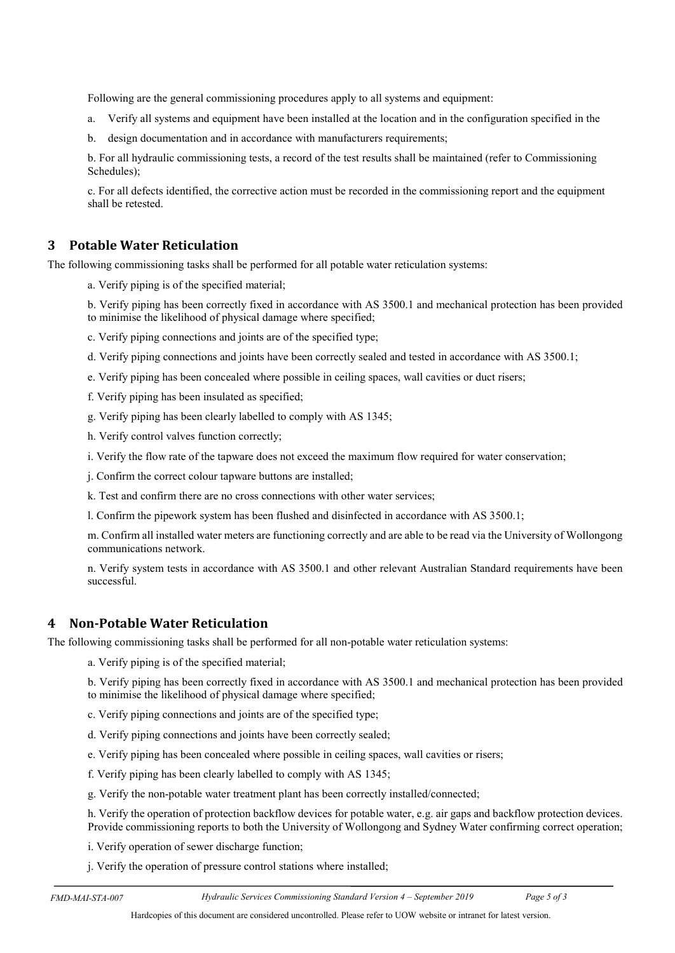Following are the general commissioning procedures apply to all systems and equipment:

- a. Verify all systems and equipment have been installed at the location and in the configuration specified in the
- b. design documentation and in accordance with manufacturers requirements;

b. For all hydraulic commissioning tests, a record of the test results shall be maintained (refer to Commissioning Schedules);

c. For all defects identified, the corrective action must be recorded in the commissioning report and the equipment shall be retested.

# <span id="page-4-0"></span>**3 Potable Water Reticulation**

The following commissioning tasks shall be performed for all potable water reticulation systems:

a. Verify piping is of the specified material;

b. Verify piping has been correctly fixed in accordance with AS 3500.1 and mechanical protection has been provided to minimise the likelihood of physical damage where specified;

- c. Verify piping connections and joints are of the specified type;
- d. Verify piping connections and joints have been correctly sealed and tested in accordance with AS 3500.1;
- e. Verify piping has been concealed where possible in ceiling spaces, wall cavities or duct risers;
- f. Verify piping has been insulated as specified;
- g. Verify piping has been clearly labelled to comply with AS 1345;
- h. Verify control valves function correctly;
- i. Verify the flow rate of the tapware does not exceed the maximum flow required for water conservation;

j. Confirm the correct colour tapware buttons are installed;

k. Test and confirm there are no cross connections with other water services;

l. Confirm the pipework system has been flushed and disinfected in accordance with AS 3500.1;

m. Confirm all installed water meters are functioning correctly and are able to be read via the University of Wollongong communications network.

n. Verify system tests in accordance with AS 3500.1 and other relevant Australian Standard requirements have been successful.

### <span id="page-4-1"></span>**4 Non-Potable Water Reticulation**

The following commissioning tasks shall be performed for all non-potable water reticulation systems:

a. Verify piping is of the specified material;

b. Verify piping has been correctly fixed in accordance with AS 3500.1 and mechanical protection has been provided to minimise the likelihood of physical damage where specified;

- c. Verify piping connections and joints are of the specified type;
- d. Verify piping connections and joints have been correctly sealed;
- e. Verify piping has been concealed where possible in ceiling spaces, wall cavities or risers;
- f. Verify piping has been clearly labelled to comply with AS 1345;
- g. Verify the non-potable water treatment plant has been correctly installed/connected;

h. Verify the operation of protection backflow devices for potable water, e.g. air gaps and backflow protection devices. Provide commissioning reports to both the University of Wollongong and Sydney Water confirming correct operation;

i. Verify operation of sewer discharge function;

j. Verify the operation of pressure control stations where installed;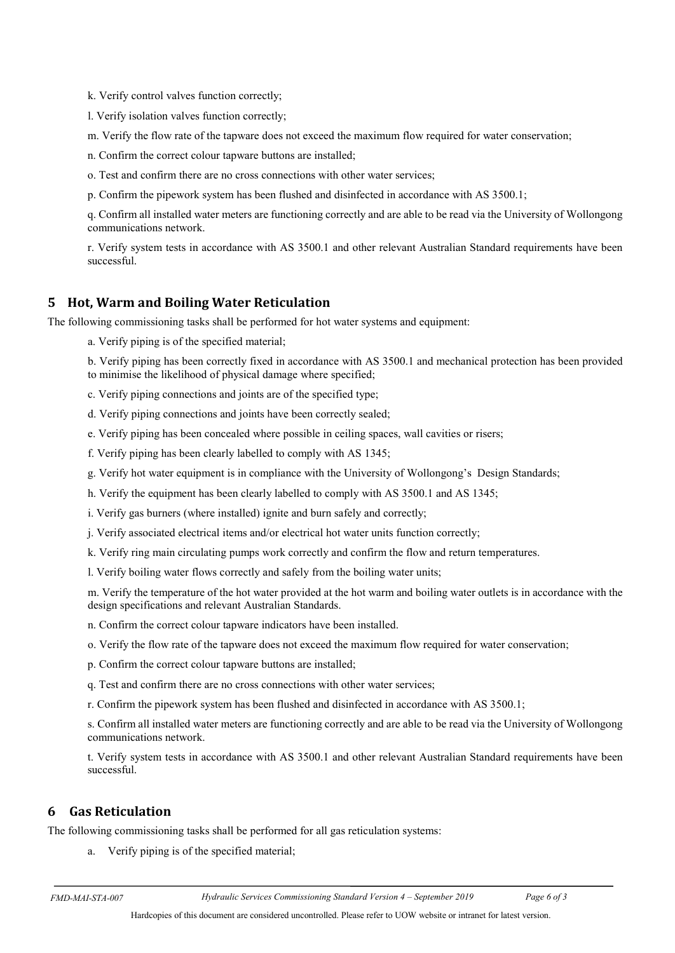k. Verify control valves function correctly;

l. Verify isolation valves function correctly;

m. Verify the flow rate of the tapware does not exceed the maximum flow required for water conservation;

n. Confirm the correct colour tapware buttons are installed;

o. Test and confirm there are no cross connections with other water services;

p. Confirm the pipework system has been flushed and disinfected in accordance with AS 3500.1;

q. Confirm all installed water meters are functioning correctly and are able to be read via the University of Wollongong communications network.

r. Verify system tests in accordance with AS 3500.1 and other relevant Australian Standard requirements have been successful.

### <span id="page-5-0"></span>**5 Hot, Warm and Boiling Water Reticulation**

The following commissioning tasks shall be performed for hot water systems and equipment:

a. Verify piping is of the specified material;

b. Verify piping has been correctly fixed in accordance with AS 3500.1 and mechanical protection has been provided to minimise the likelihood of physical damage where specified;

c. Verify piping connections and joints are of the specified type;

d. Verify piping connections and joints have been correctly sealed;

e. Verify piping has been concealed where possible in ceiling spaces, wall cavities or risers;

f. Verify piping has been clearly labelled to comply with AS 1345;

g. Verify hot water equipment is in compliance with the University of Wollongong's Design Standards;

h. Verify the equipment has been clearly labelled to comply with AS 3500.1 and AS 1345;

i. Verify gas burners (where installed) ignite and burn safely and correctly;

j. Verify associated electrical items and/or electrical hot water units function correctly;

k. Verify ring main circulating pumps work correctly and confirm the flow and return temperatures.

l. Verify boiling water flows correctly and safely from the boiling water units;

m. Verify the temperature of the hot water provided at the hot warm and boiling water outlets is in accordance with the design specifications and relevant Australian Standards.

n. Confirm the correct colour tapware indicators have been installed.

o. Verify the flow rate of the tapware does not exceed the maximum flow required for water conservation;

p. Confirm the correct colour tapware buttons are installed;

q. Test and confirm there are no cross connections with other water services;

r. Confirm the pipework system has been flushed and disinfected in accordance with AS 3500.1;

s. Confirm all installed water meters are functioning correctly and are able to be read via the University of Wollongong communications network.

t. Verify system tests in accordance with AS 3500.1 and other relevant Australian Standard requirements have been successful.

# <span id="page-5-1"></span>**6 Gas Reticulation**

The following commissioning tasks shall be performed for all gas reticulation systems:

a. Verify piping is of the specified material;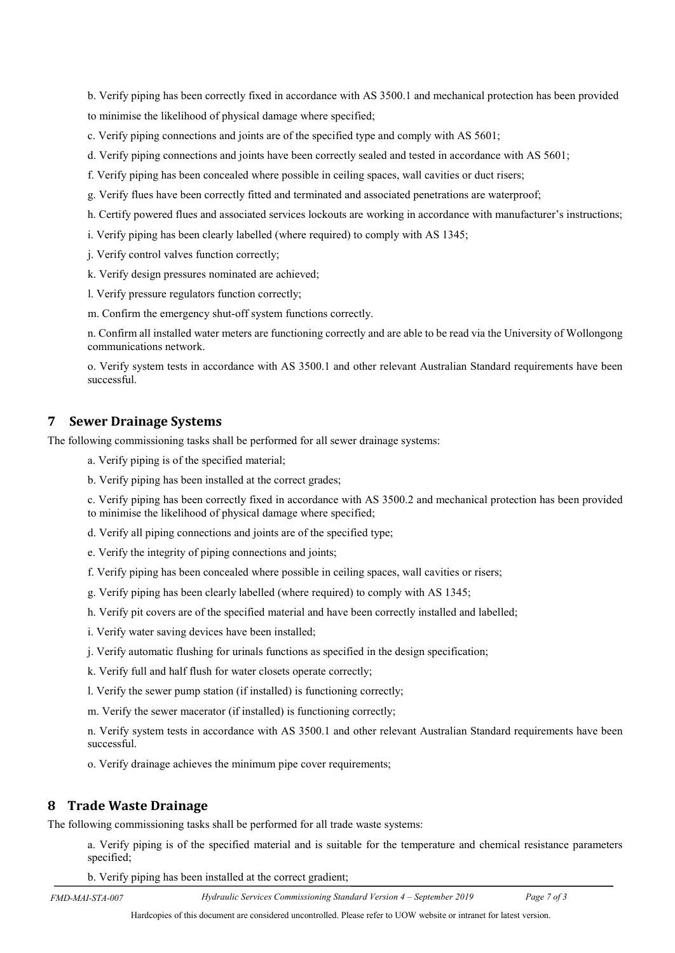b. Verify piping has been correctly fixed in accordance with AS 3500.1 and mechanical protection has been provided to minimise the likelihood of physical damage where specified;

c. Verify piping connections and joints are of the specified type and comply with AS 5601;

d. Verify piping connections and joints have been correctly sealed and tested in accordance with AS 5601;

f. Verify piping has been concealed where possible in ceiling spaces, wall cavities or duct risers;

g. Verify flues have been correctly fitted and terminated and associated penetrations are waterproof;

h. Certify powered flues and associated services lockouts are working in accordance with manufacturer's instructions;

i. Verify piping has been clearly labelled (where required) to comply with AS 1345;

j. Verify control valves function correctly;

k. Verify design pressures nominated are achieved;

l. Verify pressure regulators function correctly;

m. Confirm the emergency shut-off system functions correctly.

n. Confirm all installed water meters are functioning correctly and are able to be read via the University of Wollongong communications network.

o. Verify system tests in accordance with AS 3500.1 and other relevant Australian Standard requirements have been successful.

### <span id="page-6-0"></span>**7 Sewer Drainage Systems**

The following commissioning tasks shall be performed for all sewer drainage systems:

a. Verify piping is of the specified material;

b. Verify piping has been installed at the correct grades;

c. Verify piping has been correctly fixed in accordance with AS 3500.2 and mechanical protection has been provided to minimise the likelihood of physical damage where specified;

d. Verify all piping connections and joints are of the specified type;

e. Verify the integrity of piping connections and joints;

f. Verify piping has been concealed where possible in ceiling spaces, wall cavities or risers;

g. Verify piping has been clearly labelled (where required) to comply with AS 1345;

h. Verify pit covers are of the specified material and have been correctly installed and labelled;

i. Verify water saving devices have been installed;

j. Verify automatic flushing for urinals functions as specified in the design specification;

k. Verify full and half flush for water closets operate correctly;

l. Verify the sewer pump station (if installed) is functioning correctly;

m. Verify the sewer macerator (if installed) is functioning correctly;

n. Verify system tests in accordance with AS 3500.1 and other relevant Australian Standard requirements have been successful.

o. Verify drainage achieves the minimum pipe cover requirements;

### <span id="page-6-1"></span>**8 Trade Waste Drainage**

The following commissioning tasks shall be performed for all trade waste systems:

a. Verify piping is of the specified material and is suitable for the temperature and chemical resistance parameters specified;

b. Verify piping has been installed at the correct gradient;

*FMD-MAI-STA-007 Hydraulic Services Commissioning Standard Version 4 – September 2019 Page 7 of 3*

Hardcopies of this document are considered uncontrolled. Please refer to UOW website or intranet for latest version.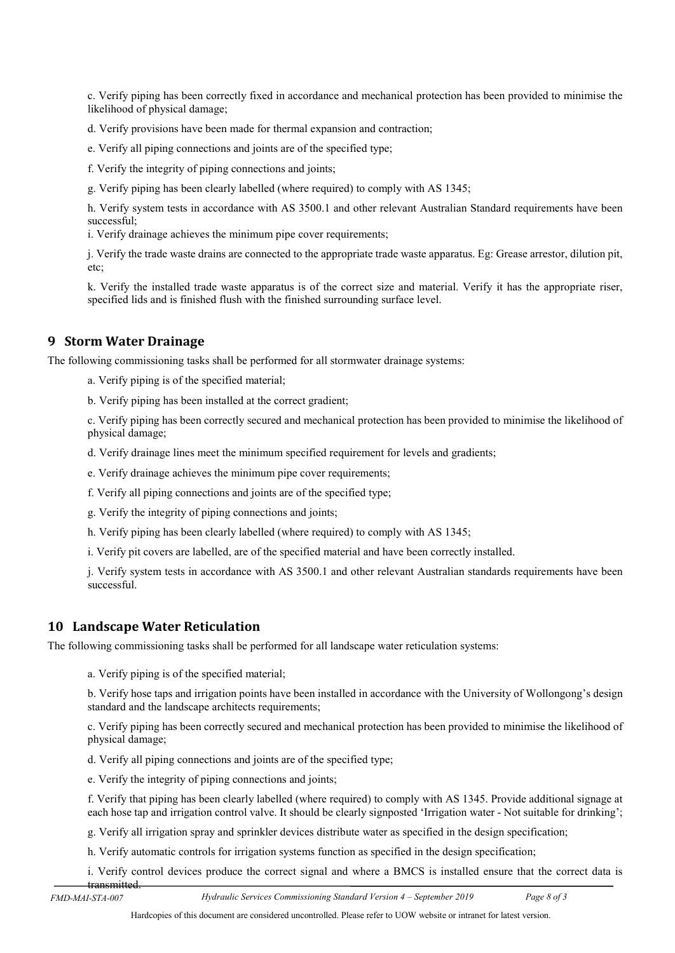c. Verify piping has been correctly fixed in accordance and mechanical protection has been provided to minimise the likelihood of physical damage;

d. Verify provisions have been made for thermal expansion and contraction;

e. Verify all piping connections and joints are of the specified type;

f. Verify the integrity of piping connections and joints;

g. Verify piping has been clearly labelled (where required) to comply with AS 1345;

h. Verify system tests in accordance with AS 3500.1 and other relevant Australian Standard requirements have been successful;

i. Verify drainage achieves the minimum pipe cover requirements;

j. Verify the trade waste drains are connected to the appropriate trade waste apparatus. Eg: Grease arrestor, dilution pit, etc;

k. Verify the installed trade waste apparatus is of the correct size and material. Verify it has the appropriate riser, specified lids and is finished flush with the finished surrounding surface level.

# <span id="page-7-0"></span>**9 Storm Water Drainage**

The following commissioning tasks shall be performed for all stormwater drainage systems:

a. Verify piping is of the specified material;

b. Verify piping has been installed at the correct gradient;

c. Verify piping has been correctly secured and mechanical protection has been provided to minimise the likelihood of physical damage;

d. Verify drainage lines meet the minimum specified requirement for levels and gradients;

e. Verify drainage achieves the minimum pipe cover requirements;

f. Verify all piping connections and joints are of the specified type;

g. Verify the integrity of piping connections and joints;

h. Verify piping has been clearly labelled (where required) to comply with AS 1345;

i. Verify pit covers are labelled, are of the specified material and have been correctly installed.

j. Verify system tests in accordance with AS 3500.1 and other relevant Australian standards requirements have been successful.

### <span id="page-7-1"></span>**10 Landscape Water Reticulation**

The following commissioning tasks shall be performed for all landscape water reticulation systems:

a. Verify piping is of the specified material;

b. Verify hose taps and irrigation points have been installed in accordance with the University of Wollongong's design standard and the landscape architects requirements;

c. Verify piping has been correctly secured and mechanical protection has been provided to minimise the likelihood of physical damage;

d. Verify all piping connections and joints are of the specified type;

e. Verify the integrity of piping connections and joints;

f. Verify that piping has been clearly labelled (where required) to comply with AS 1345. Provide additional signage at each hose tap and irrigation control valve. It should be clearly signposted 'Irrigation water - Not suitable for drinking';

g. Verify all irrigation spray and sprinkler devices distribute water as specified in the design specification;

h. Verify automatic controls for irrigation systems function as specified in the design specification;

i. Verify control devices produce the correct signal and where a BMCS is installed ensure that the correct data is transmitted.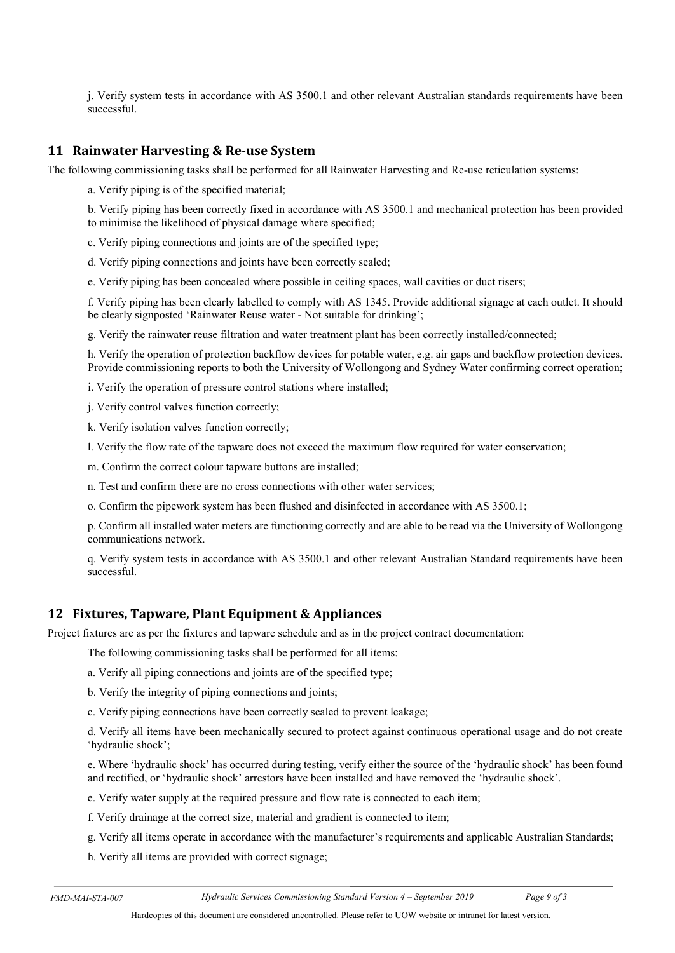j. Verify system tests in accordance with AS 3500.1 and other relevant Australian standards requirements have been successful.

### <span id="page-8-0"></span>**11 Rainwater Harvesting & Re-use System**

The following commissioning tasks shall be performed for all Rainwater Harvesting and Re-use reticulation systems:

a. Verify piping is of the specified material;

b. Verify piping has been correctly fixed in accordance with AS 3500.1 and mechanical protection has been provided to minimise the likelihood of physical damage where specified;

c. Verify piping connections and joints are of the specified type;

d. Verify piping connections and joints have been correctly sealed;

e. Verify piping has been concealed where possible in ceiling spaces, wall cavities or duct risers;

f. Verify piping has been clearly labelled to comply with AS 1345. Provide additional signage at each outlet. It should be clearly signposted 'Rainwater Reuse water - Not suitable for drinking';

g. Verify the rainwater reuse filtration and water treatment plant has been correctly installed/connected;

h. Verify the operation of protection backflow devices for potable water, e.g. air gaps and backflow protection devices. Provide commissioning reports to both the University of Wollongong and Sydney Water confirming correct operation;

i. Verify the operation of pressure control stations where installed;

j. Verify control valves function correctly;

k. Verify isolation valves function correctly;

l. Verify the flow rate of the tapware does not exceed the maximum flow required for water conservation;

m. Confirm the correct colour tapware buttons are installed;

n. Test and confirm there are no cross connections with other water services;

o. Confirm the pipework system has been flushed and disinfected in accordance with AS 3500.1;

p. Confirm all installed water meters are functioning correctly and are able to be read via the University of Wollongong communications network.

q. Verify system tests in accordance with AS 3500.1 and other relevant Australian Standard requirements have been successful.

### <span id="page-8-1"></span>**12 Fixtures, Tapware, Plant Equipment & Appliances**

Project fixtures are as per the fixtures and tapware schedule and as in the project contract documentation:

The following commissioning tasks shall be performed for all items:

a. Verify all piping connections and joints are of the specified type;

b. Verify the integrity of piping connections and joints;

c. Verify piping connections have been correctly sealed to prevent leakage;

d. Verify all items have been mechanically secured to protect against continuous operational usage and do not create 'hydraulic shock';

e. Where 'hydraulic shock' has occurred during testing, verify either the source of the 'hydraulic shock' has been found and rectified, or 'hydraulic shock' arrestors have been installed and have removed the 'hydraulic shock'.

e. Verify water supply at the required pressure and flow rate is connected to each item;

f. Verify drainage at the correct size, material and gradient is connected to item;

g. Verify all items operate in accordance with the manufacturer's requirements and applicable Australian Standards;

h. Verify all items are provided with correct signage;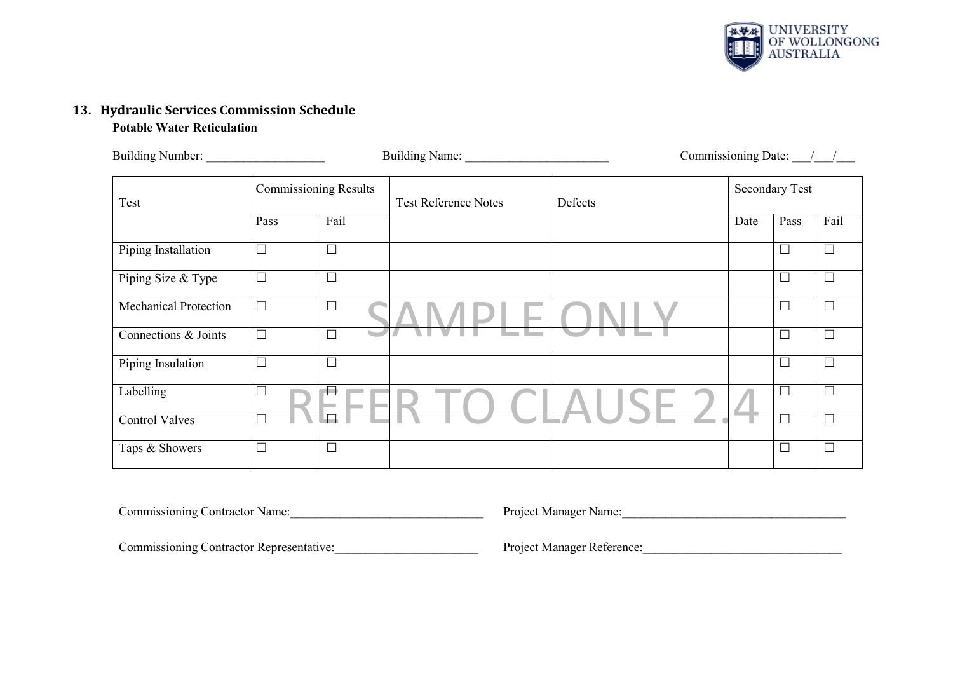

# **Potable Water Reticulation**

SAMPLE ONLY REFER TO CLAUSE 2.4 Building Number: \_\_\_\_\_\_\_\_\_\_\_\_\_\_\_\_\_\_\_ Building Name: \_\_\_\_\_\_\_\_\_\_\_\_\_\_\_\_\_\_\_\_\_\_\_ Commissioning Date: \_\_\_/\_\_\_/\_\_\_ Test Commissioning Results Test Reference Notes | Defects Secondary Test Pass Fail Fail and the Pass Fail Pass Fail Pass Fail Date Pass Fail Piping Installation  $\Box$ Piping Size & Type  $\Box$   $\Box$ Mechanical Protection  $\Box$ Connections & Joints Piping Insulation  $\Box$   $\Box$ Labelling Control Valves Taps & Showers  $\Box$ 

<span id="page-9-0"></span>

| Commissioning Contractor Name:     | Project Manager Name:          |  |  |  |
|------------------------------------|--------------------------------|--|--|--|
|                                    |                                |  |  |  |
| $\sim$ $\sim$ $\sim$ $\sim$ $\sim$ | $\sim$ $\sim$<br>$\sim$<br>. . |  |  |  |

Commissioning Contractor Representative: The Project Manager Reference: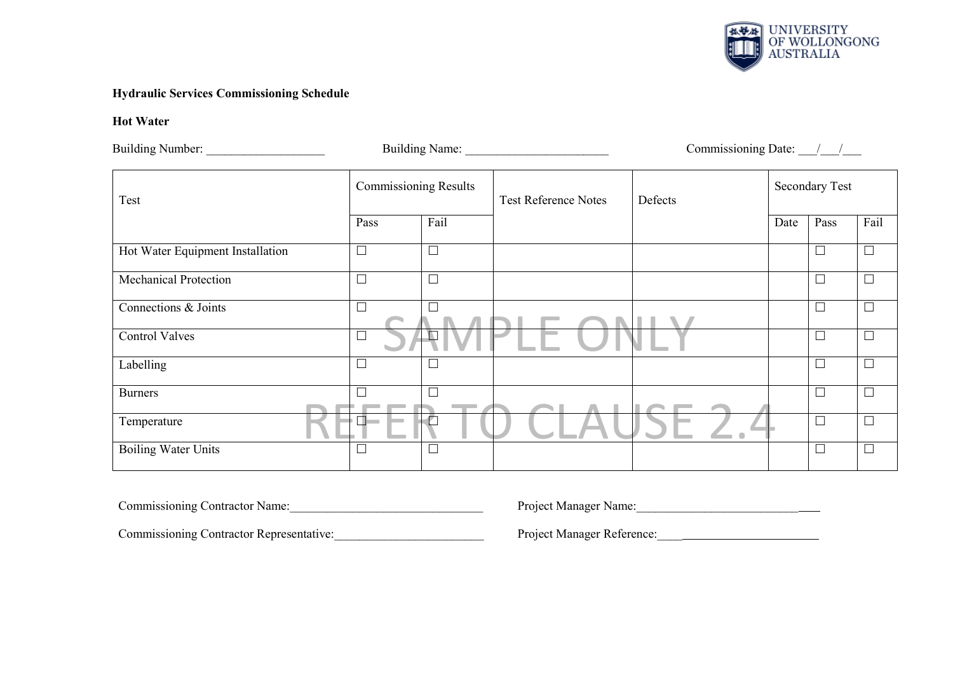

### **Hot Water**

Building Number: \_\_\_\_\_\_\_\_\_\_\_\_\_\_\_\_\_\_\_ Building Name: \_\_\_\_\_\_\_\_\_\_\_\_\_\_\_\_\_\_\_\_\_\_\_ Commissioning Date: \_\_\_/\_\_\_/\_\_\_

| Test                             | <b>Commissioning Results</b> |        | <b>Test Reference Notes</b> | Defects | <b>Secondary Test</b> |                          |        |
|----------------------------------|------------------------------|--------|-----------------------------|---------|-----------------------|--------------------------|--------|
|                                  | Pass                         | Fail   |                             |         | Date                  | Pass                     | Fail   |
| Hot Water Equipment Installation | $\Box$                       | $\Box$ |                             |         |                       | $\Box$                   | $\Box$ |
| <b>Mechanical Protection</b>     | $\Box$                       | $\Box$ |                             |         |                       | $\overline{\phantom{a}}$ | $\Box$ |
| Connections & Joints             | $\Box$                       | $\Box$ |                             |         |                       | $\Box$                   | $\Box$ |
| <b>Control Valves</b>            | ∟                            |        |                             |         |                       | $\Box$                   | $\Box$ |
| Labelling                        | $\Box$                       | $\Box$ |                             |         |                       | $\Box$                   | $\Box$ |
| <b>Burners</b>                   |                              | $\Box$ |                             |         |                       | $\Box$                   | $\Box$ |
| Temperature                      |                              | Г      |                             |         |                       | $\overline{\phantom{a}}$ | $\Box$ |
| <b>Boiling Water Units</b>       | └                            | $\Box$ |                             |         |                       | $\Box$                   | $\Box$ |

Commissioning Contractor Name:\_\_\_\_\_\_\_\_\_\_\_\_\_\_\_\_\_\_\_\_\_\_\_\_\_\_\_\_\_\_\_ Project Manager Name:\_\_\_\_\_\_\_\_\_\_\_\_\_\_\_\_\_\_\_\_\_\_\_\_\_\_

Commissioning Contractor Representative: Project Manager Reference: Commissioning Contractor Representative: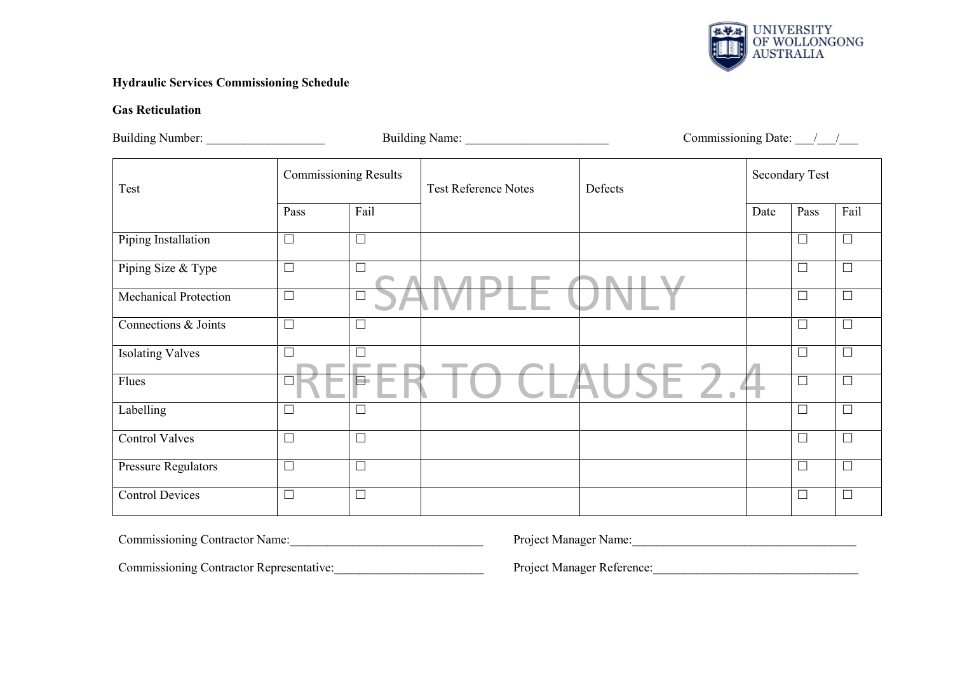

### **Gas Reticulation**

Building Number: \_\_\_\_\_\_\_\_\_\_\_\_\_\_\_\_\_\_\_ Building Name: \_\_\_\_\_\_\_\_\_\_\_\_\_\_\_\_\_\_\_\_\_\_\_ Commissioning Date: \_\_\_/\_\_\_/\_\_\_

| Test                         | <b>Commissioning Results</b> |        | <b>Test Reference Notes</b> | Defects | <b>Secondary Test</b> |                          |        |
|------------------------------|------------------------------|--------|-----------------------------|---------|-----------------------|--------------------------|--------|
|                              | Pass                         | Fail   |                             |         | Date                  | Pass                     | Fail   |
| Piping Installation          | $\Box$                       | $\Box$ |                             |         |                       | $\Box$                   | $\Box$ |
| Piping Size & Type           | $\Box$                       | $\Box$ |                             |         |                       | $\Box$                   | $\Box$ |
| <b>Mechanical Protection</b> | $\Box$                       | $\Box$ |                             |         |                       | $\overline{\phantom{a}}$ | $\Box$ |
| Connections & Joints         | $\Box$                       | $\Box$ |                             |         |                       | $\Box$                   | $\Box$ |
| <b>Isolating Valves</b>      | $\Box$                       | $\Box$ |                             |         |                       | $\overline{\phantom{a}}$ | $\Box$ |
| Flues                        |                              | E.     |                             |         |                       | $\Box$                   | Г      |
| Labelling                    | $\Box$                       | $\Box$ |                             |         |                       | $\Box$                   | Г      |
| <b>Control Valves</b>        | $\Box$                       | $\Box$ |                             |         |                       | $\Box$                   | $\Box$ |
| Pressure Regulators          | $\Box$                       | $\Box$ |                             |         |                       | $\Box$                   | $\Box$ |
| <b>Control Devices</b>       | $\Box$                       | $\Box$ |                             |         |                       | Г                        | Г      |

Commissioning Contractor Name:

Project Manager Name:\_\_\_\_\_\_\_\_\_\_\_\_\_\_\_\_\_\_\_\_\_\_\_\_\_\_\_\_\_\_\_\_\_\_\_\_

Commissioning Contractor Representative:

Project Manager Reference:\_\_\_\_\_\_\_\_\_\_\_\_\_\_\_\_\_\_\_\_\_\_\_\_\_\_\_\_\_\_\_\_\_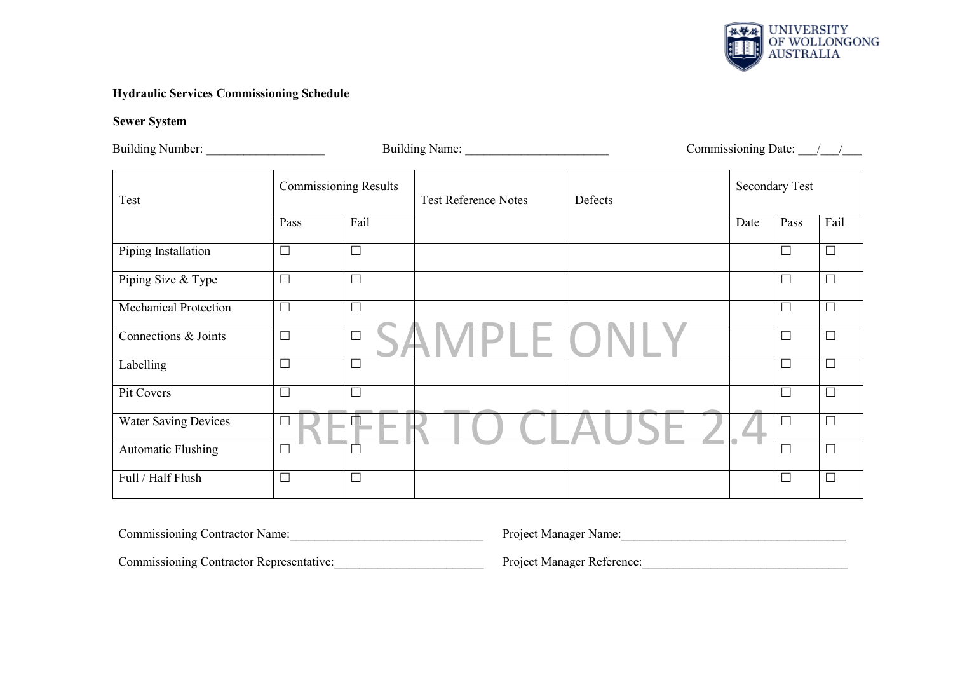

### **Sewer System**

Building Number: \_\_\_\_\_\_\_\_\_\_\_\_\_\_\_\_\_\_\_ Building Name: \_\_\_\_\_\_\_\_\_\_\_\_\_\_\_\_\_\_\_\_\_\_\_ Commissioning Date: \_\_\_/\_\_\_/\_\_\_

| Test                         | <b>Commissioning Results</b> |        | <b>Test Reference Notes</b> | Defects | <b>Secondary Test</b> |        |        |
|------------------------------|------------------------------|--------|-----------------------------|---------|-----------------------|--------|--------|
|                              | Pass                         | Fail   |                             |         | Date                  | Pass   | Fail   |
| Piping Installation          | $\Box$                       | $\Box$ |                             |         |                       | $\Box$ | $\Box$ |
| Piping Size & Type           | $\Box$                       | $\Box$ |                             |         |                       | $\Box$ | $\Box$ |
| <b>Mechanical Protection</b> | $\Box$                       | $\Box$ |                             |         |                       | $\Box$ | $\Box$ |
| Connections & Joints         | $\Box$                       | $\Box$ |                             |         |                       | $\Box$ | $\Box$ |
| Labelling                    | $\Box$                       | $\Box$ |                             |         |                       | $\Box$ | $\Box$ |
| Pit Covers                   | $\Box$                       | $\Box$ |                             |         |                       | $\Box$ | $\Box$ |
| <b>Water Saving Devices</b>  | Ē                            | $\Box$ |                             |         |                       | $\Box$ | $\Box$ |
| <b>Automatic Flushing</b>    | Г                            | Ō      |                             |         |                       | $\Box$ | $\Box$ |
| Full / Half Flush            | $\Box$                       | $\Box$ |                             |         |                       | $\Box$ | $\Box$ |

Commissioning Contractor Name: The Project Manager Name: The Project Manager Name: Commissioning Contractor Representative:\_\_\_\_\_\_\_\_\_\_\_\_\_\_\_\_\_\_\_\_\_\_\_\_ Project Manager Reference:\_\_\_\_\_\_\_\_\_\_\_\_\_\_\_\_\_\_\_\_\_\_\_\_\_\_\_\_\_\_\_\_\_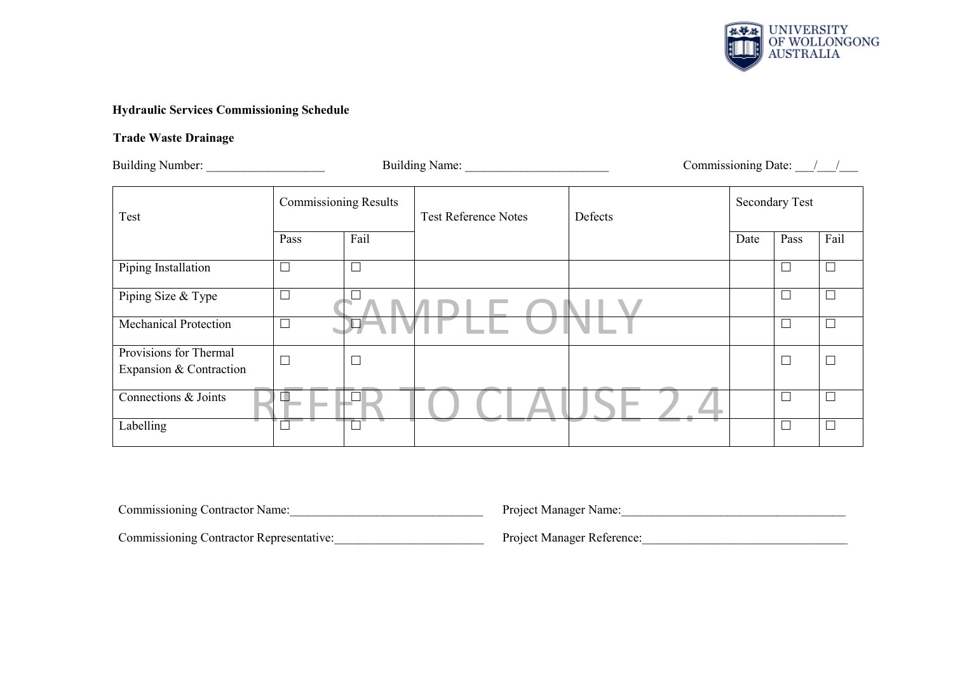

# **Trade Waste Drainage**

| <b>Building Number:</b> |  |
|-------------------------|--|
|-------------------------|--|

| T<br>ıng Numt<br>Name. | Date. |
|------------------------|-------|
|------------------------|-------|

| Test                                              | <b>Commissioning Results</b> |        | <b>Test Reference Notes</b> | Defects | <b>Secondary Test</b> |      |      |
|---------------------------------------------------|------------------------------|--------|-----------------------------|---------|-----------------------|------|------|
|                                                   | Pass                         | Fail   |                             |         | Date                  | Pass | Fail |
| Piping Installation                               | $\Box$                       |        |                             |         |                       |      |      |
| Piping Size & Type                                | $\overline{\phantom{a}}$     |        |                             |         |                       |      |      |
| <b>Mechanical Protection</b>                      | $\Box$                       |        |                             |         |                       |      |      |
| Provisions for Thermal<br>Expansion & Contraction | $\Box$                       | $\Box$ |                             |         |                       |      |      |
| Connections & Joints                              | $\Box$                       |        |                             |         |                       |      |      |
| Labelling                                         |                              |        |                             |         |                       |      |      |

| Commissioning Contractor Name:           | Project Manager Name:      |
|------------------------------------------|----------------------------|
| Commissioning Contractor Representative: | Project Manager Reference: |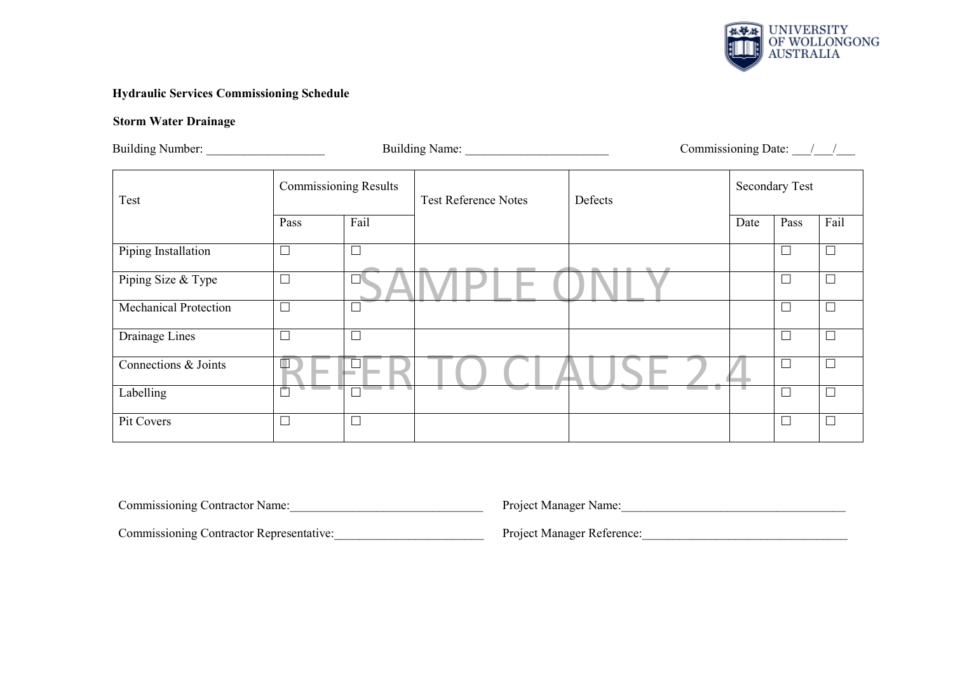

### **Storm Water Drainage**

| Buildi<br>Number: | Name | Jate:<br>3100110 S |
|-------------------|------|--------------------|
|                   |      |                    |

| Test                         | <b>Commissioning Results</b> |        | <b>Test Reference Notes</b> | Defects | <b>Secondary Test</b> |      |                          |
|------------------------------|------------------------------|--------|-----------------------------|---------|-----------------------|------|--------------------------|
|                              | Pass                         | Fail   |                             |         | Date                  | Pass | Fail                     |
| Piping Installation          | $\Box$                       | $\Box$ |                             |         |                       |      | $\overline{\phantom{a}}$ |
| Piping Size & Type           | $\Box$                       | $\Box$ |                             |         |                       |      | $\Box$                   |
| <b>Mechanical Protection</b> | $\Box$                       | П      |                             |         |                       |      | $\Box$                   |
| Drainage Lines               | $\Box$                       | $\Box$ |                             |         |                       |      | $\Box$                   |
| Connections & Joints         |                              |        |                             |         |                       |      | $\Box$                   |
| Labelling                    | w.                           |        | ٠                           |         |                       |      | $\Box$                   |
| Pit Covers                   | П                            | $\Box$ |                             |         |                       |      | $\Box$                   |

| <b>Commissioning Contractor Name:</b>    | Project Manager Name:      |
|------------------------------------------|----------------------------|
| Commissioning Contractor Representative: | Project Manager Reference: |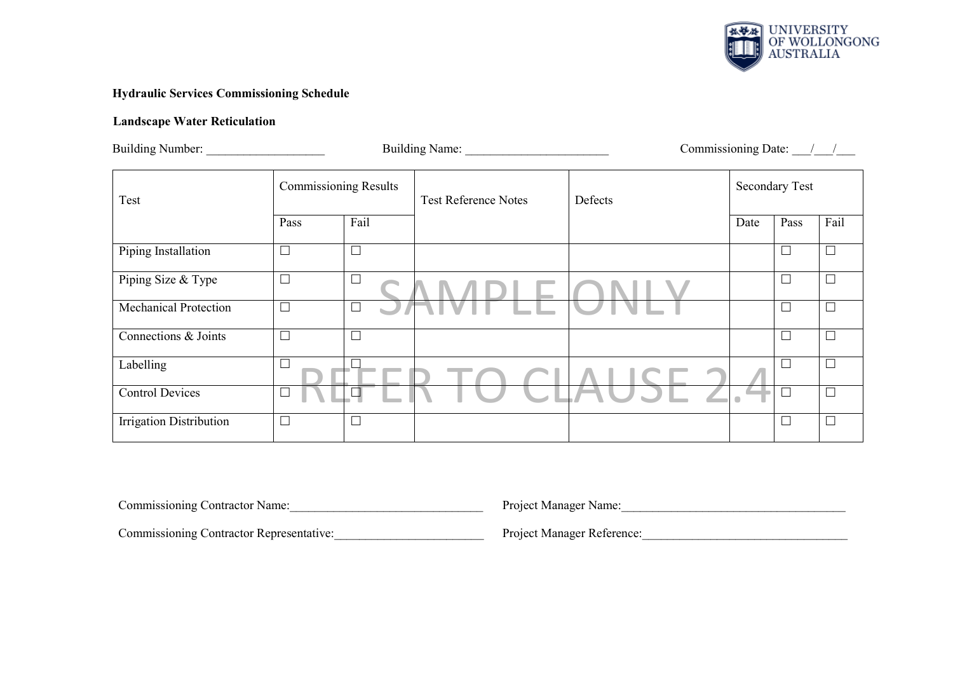

### **Landscape Water Reticulation**

Building Number: \_\_\_\_\_\_\_\_\_\_\_\_\_\_\_\_\_\_\_ Building Name: \_\_\_\_\_\_\_\_\_\_\_\_\_\_\_\_\_\_\_\_\_\_\_ Commissioning Date: \_\_\_/\_\_\_/\_\_\_

| Test                           | <b>Commissioning Results</b> |        | <b>Test Reference Notes</b> | Defects |      | <b>Secondary Test</b> |        |
|--------------------------------|------------------------------|--------|-----------------------------|---------|------|-----------------------|--------|
|                                | Pass                         | Fail   |                             |         | Date | Pass                  | Fail   |
| Piping Installation            | $\Box$                       | $\Box$ |                             |         |      | $\Box$                | $\Box$ |
| Piping Size & Type             | $\Box$                       | $\Box$ |                             |         |      | $\Box$                | $\Box$ |
| <b>Mechanical Protection</b>   | $\Box$                       | $\Box$ |                             |         |      | $\Box$                | $\Box$ |
| Connections & Joints           | $\Box$                       | $\Box$ |                             |         |      | $\Box$                | $\Box$ |
| Labelling                      | $\Box$                       |        |                             |         |      | $\Box$                | $\Box$ |
| <b>Control Devices</b>         |                              |        |                             |         |      | $\Box$                | $\Box$ |
| <b>Irrigation Distribution</b> | $\Box$                       | $\Box$ |                             |         |      | $\Box$                | $\Box$ |

| Commissioning Contractor Name:           | Project Manager Name:      |
|------------------------------------------|----------------------------|
| Commissioning Contractor Representative: | Project Manager Reference: |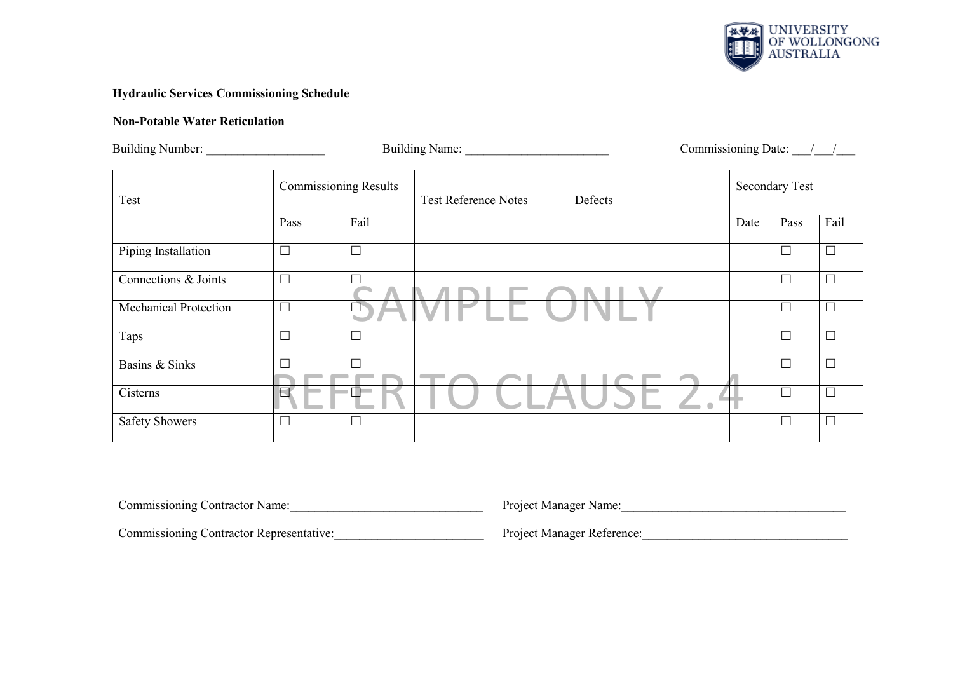

# **Non-Potable Water Reticulation**

| Building<br>$\lceil$ Number | Name | Jate<br>mıno |
|-----------------------------|------|--------------|
|                             |      |              |

| Test                         | <b>Commissioning Results</b> |        | <b>Test Reference Notes</b> | Defects |      | <b>Secondary Test</b> |                          |
|------------------------------|------------------------------|--------|-----------------------------|---------|------|-----------------------|--------------------------|
|                              | Pass                         | Fail   |                             |         | Date | Pass                  | Fail                     |
| Piping Installation          | $\Box$                       | $\Box$ |                             |         |      |                       | $\Box$                   |
| Connections & Joints         | $\Box$                       |        |                             |         |      |                       | $\overline{\phantom{a}}$ |
| <b>Mechanical Protection</b> | $\Box$                       | Ļ      |                             |         |      |                       | $\Box$                   |
| Taps                         | $\Box$                       | $\Box$ |                             |         |      | $\Box$                | $\Box$                   |
| Basins & Sinks               |                              | П      |                             |         |      |                       | $\Box$                   |
| Cisterns                     |                              | ı Tr   |                             |         |      |                       | $\overline{\phantom{a}}$ |
| <b>Safety Showers</b>        |                              | $\Box$ |                             |         |      |                       | $\Box$                   |

| Commissioning Contractor Name:           | Project Manager Name:      |  |  |
|------------------------------------------|----------------------------|--|--|
| Commissioning Contractor Representative: | Project Manager Reference: |  |  |